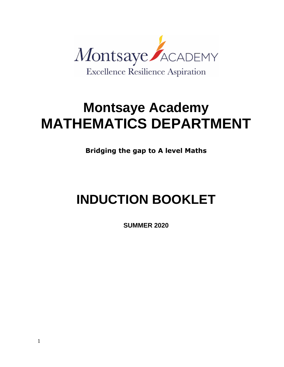

# **Montsaye Academy MATHEMATICS DEPARTMENT**

**Bridging the gap to A level Maths**

# **INDUCTION BOOKLET**

**SUMMER 2020**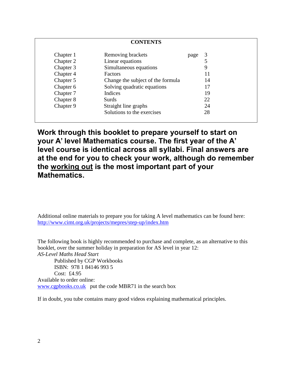| <b>CONTENTS</b> |                                   |      |    |
|-----------------|-----------------------------------|------|----|
| Chapter 1       | Removing brackets                 | page | 3  |
| Chapter 2       | Linear equations                  |      |    |
| Chapter 3       | Simultaneous equations            |      | 9  |
| Chapter 4       | Factors                           |      | 11 |
| Chapter 5       | Change the subject of the formula |      | 14 |
| Chapter 6       | Solving quadratic equations       |      | 17 |
| Chapter 7       | Indices                           |      | 19 |
| Chapter 8       | Surds                             |      | 22 |
| Chapter 9       | Straight line graphs              |      | 24 |
|                 | Solutions to the exercises        |      | 28 |

**Work through this booklet to prepare yourself to start on your A' level Mathematics course. The first year of the A' level course is identical across all syllabi. Final answers are at the end for you to check your work, although do remember the working out is the most important part of your Mathematics.**

Additional online materials to prepare you for taking A level mathematics can be found here: <http://www.cimt.org.uk/projects/mepres/step-up/index.htm>

The following book is highly recommended to purchase and complete, as an alternative to this booklet, over the summer holiday in preparation for AS level in year 12: *AS-Level Maths Head Start* Published by CGP Workbooks ISBN: 978 1 84146 993 5 Cost: £4.95 Available to order online: [www.cgpbooks.co.uk](http://www.cgpbooks.co.uk/) put the code MBR71 in the search box

If in doubt, you tube contains many good videos explaining mathematical principles.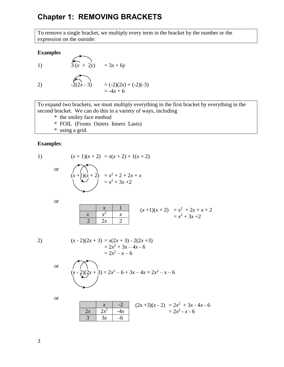# **Chapter 1: REMOVING BRACKETS**

To remove a single bracket, we multiply every term in the bracket by the number or the expression on the outside:

#### **Examples**

1) 
$$
\overbrace{3(x + 2y)}^{3(x + 2y)} = 3x + 6y
$$
  
2)  $\overbrace{-2(2x - 3)}^{2(x + 2y)} = (-2)(2x) + (-2)(-3)$ 

 $= -4x + 6$ 

To expand two brackets, we must multiply everything in the first bracket by everything in the second bracket. We can do this in a variety of ways, including

\* the smiley face method

 $\mathbf{r}$ 

- \* FOIL (Fronts Outers Inners Lasts)
- \* using a grid.

#### **Examples**:

$$
(x+1)(x+2) = x(x+2) + 1(x+2)
$$

or

$$
(x+1)(x+2) = x^2 + 2 + 2x + x
$$
  
= x<sup>2</sup> + 3x + 2

or

| x   | x     | 1   |
|-----|-------|-----|
| $x$ | $x^2$ | $x$ |
| 2   | $2x$  | 2   |

\n(x + 1)(x + 2)

\n $= x^2 + 2x + x + 2$ 

\n $= x^2 + 3x + 2$ 

$$
\begin{aligned} (x-2)(2x+3) &= x(2x+3) - 2(2x+3) \\ &= 2x^2 + 3x - 4x - 6 \\ &= 2x^2 - x - 6 \end{aligned}
$$

or 
$$
(x-2)(2x+3) = 2x^2 - 6 + 3x - 4x = 2x^2 - x - 6
$$

or

|  |                         | $-2$ | $(2x+3)(x-2) = 2x^2 + 3x - 4x - 6$ |
|--|-------------------------|------|------------------------------------|
|  | $2x \mid 2x^2 \mid -4x$ |      | $= 2x^2 - x - 6$                   |
|  | 3x                      |      |                                    |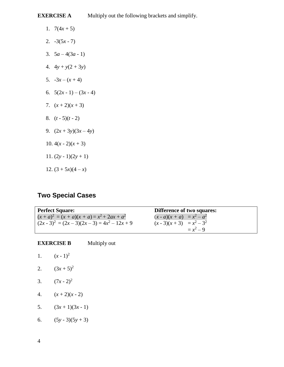**EXERCISE A** Multiply out the following brackets and simplify.

- 1.  $7(4x+5)$
- 2.  $-3(5x-7)$
- 3.  $5a-4(3a-1)$
- 4.  $4y + y(2 + 3y)$
- 5.  $-3x (x + 4)$
- 6.  $5(2x-1) (3x-4)$
- 7.  $(x+2)(x+3)$
- 8.  $(t 5)(t 2)$
- 9.  $(2x+3y)(3x-4y)$
- 10.  $4(x 2)(x + 3)$
- 11.  $(2y 1)(2y + 1)$
- 12.  $(3 + 5x)(4 x)$

# **Two Special Cases**

| <b>Perfect Square:</b>                         | <b>Difference of two squares:</b> |
|------------------------------------------------|-----------------------------------|
| $(x + a)^2 = (x + a)(x + a) = x^2 + 2ax + a^2$ | $(x - a)(x + a) = x^2 - a^2$      |
| $(2x-3)^2 = (2x-3)(2x-3) = 4x^2 - 12x + 9$     | $(x-3)(x+3) = x^2-3^2$            |
|                                                | $= x^2 - 9$                       |

|    | <b>EXERCISE B</b> | Multiply out |
|----|-------------------|--------------|
| 1. | $(x - 1)^2$       |              |
| 2. | $(3x+5)^2$        |              |
| 3. | $(7x-2)^2$        |              |
| 4. | $(x+2)(x-2)$      |              |
| 5. | $(3x+1)(3x-1)$    |              |

6.  $(5y-3)(5y+3)$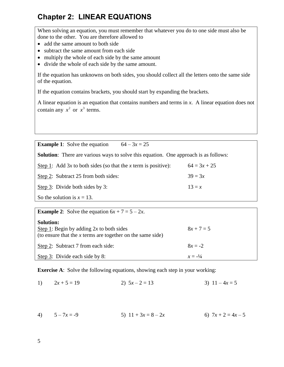# **Chapter 2: LINEAR EQUATIONS**

When solving an equation, you must remember that whatever you do to one side must also be done to the other. You are therefore allowed to

- add the same amount to both side
- subtract the same amount from each side
- multiply the whole of each side by the same amount
- divide the whole of each side by the same amount.

If the equation has unknowns on both sides, you should collect all the letters onto the same side of the equation.

If the equation contains brackets, you should start by expanding the brackets.

A linear equation is an equation that contains numbers and terms in *x*. A linear equation does not contain any  $x^2$  or  $x^3$  terms.

**Example 1**: Solve the equation  $64 - 3x = 25$ **Solution**: There are various ways to solve this equation. One approach is as follows: Step 1: Add 3*x* to both sides (so that the *x* term is positive): 64 =  $3x + 25$ Step 2: Subtract 25 from both sides:  $39 = 3x$ Step 3: Divide both sides by 3:  $13 = x$ 

So the solution is  $x = 13$ .

| <b>Example 2:</b> Solve the equation $6x + 7 = 5 - 2x$ .                                                                       |                    |  |
|--------------------------------------------------------------------------------------------------------------------------------|--------------------|--|
| <b>Solution:</b><br>Step 1: Begin by adding $2x$ to both sides<br>(to ensure that the $x$ terms are together on the same side) | $8x + 7 = 5$       |  |
| Step 2: Subtract 7 from each side:                                                                                             | $8x = -2$          |  |
| Step 3: Divide each side by 8:                                                                                                 | $x = -\frac{1}{4}$ |  |

**Exercise A:** Solve the following equations, showing each step in your working:

1)  $2x + 5 = 19$  2)  $5x - 2 = 13$  3)  $11 - 4x = 5$ 

4)  $5-7x = -9$  5)  $11 + 3x = 8-2x$  6)  $7x + 2 = 4x - 5$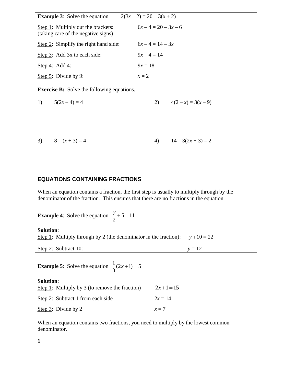| <b>Example 3:</b> Solve the equation                                      | $2(3x-2) = 20 - 3(x + 2)$ |  |
|---------------------------------------------------------------------------|---------------------------|--|
| Step 1: Multiply out the brackets:<br>(taking care of the negative signs) | $6x-4=20-3x-6$            |  |
| Step 2: Simplify the right hand side:                                     | $6x-4=14-3x$              |  |
| Step 3: Add 3x to each side:                                              | $9x - 4 = 14$             |  |
| Step 4: Add 4:                                                            | $9x = 18$                 |  |
| Step 5: Divide by 9:                                                      | $x=2$                     |  |

**Exercise B:** Solve the following equations.

1) 
$$
5(2x-4) = 4
$$
 2)  $4(2-x) = 3(x-9)$ 

3) 
$$
8 - (x + 3) = 4
$$
 4)  $14 - 3(2x + 3) = 2$ 

#### **EQUATIONS CONTAINING FRACTIONS**

When an equation contains a fraction, the first step is usually to multiply through by the denominator of the fraction. This ensures that there are no fractions in the equation.

**Example 4:** Solve the equation  $\frac{y}{2} + 5 = 11$ 2  $\frac{y}{2} + 5 =$ **Solution**: Step 1: Multiply through by 2 (the denominator in the fraction):  $y + 10 = 22$ Step 2: Subtract 10:  $y = 12$ **Example 5**: Solve the equation  $\frac{1}{2}(2x+1) = 5$ 3  $x+1) = 3$ **Solution**: Step 1: Multiply by 3 (to remove the fraction)  $2x + 1 = 15$ Step 2: Subtract 1 from each side  $2x = 14$ Step 3: Divide by 2  $x = 7$ 

When an equation contains two fractions, you need to multiply by the lowest common denominator.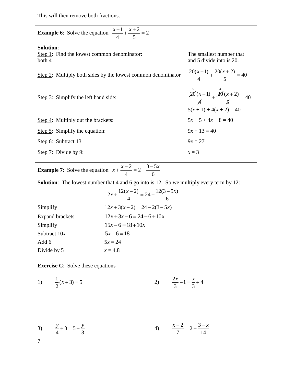This will then remove both fractions.

**Example 6:** Solve the equation  $\frac{x+1}{1} + \frac{x+2}{1} = 2$ 4 5  $\frac{x+1}{1} + \frac{x+2}{5} = 2$ **Solution**: Step 1: Find the lowest common denominator: The smallest number that both 4 and 5 divide into is 20. Step 2: Multiply both sides by the lowest common denominator  $\frac{20(x+1)}{1} + \frac{20(x+2)}{5} = 40$  $\frac{x+1}{4} + \frac{26(x)}{5}$  $\frac{x+1}{4} + \frac{20(x+2)}{5} = 40$ Step 3: Simplify the left hand side: 20  $\int_{0}^{5}$ 4  $\frac{x+1)}{x} + \frac{20}{x}$  $\int_{0}^{4}$  (x + 2)  $\not\!\!\!5$  $\frac{x+2}{1}$  = 40  $5(x + 1) + 4(x + 2) = 40$ Step 4: Multiply out the brackets:  $5x + 5 + 4x + 8 = 40$ Step 5: Simplify the equation:  $9x + 13 = 40$ Step 6: Subtract 13  $9x = 27$ Step 7: Divide by 9:  $x = 3$ 

| <b>Example 7:</b> Solve the equation $x + \frac{x-2}{4} = 2 - \frac{3-5x}{6}$ |                                                                                                 |  |
|-------------------------------------------------------------------------------|-------------------------------------------------------------------------------------------------|--|
|                                                                               | <b>Solution:</b> The lowest number that 4 and 6 go into is 12. So we multiply every term by 12: |  |
|                                                                               | $12x + \frac{12(x-2)}{4} = 24 - \frac{12(3-5x)}{6}$                                             |  |
| Simplify                                                                      | $12x+3(x-2) = 24-2(3-5x)$                                                                       |  |
| <b>Expand brackets</b>                                                        | $12x+3x-6=24-6+10x$                                                                             |  |
| Simplify                                                                      | $15x-6=18+10x$                                                                                  |  |
| Subtract $10x$                                                                | $5x-6=18$                                                                                       |  |
| Add 6                                                                         | $5x = 24$                                                                                       |  |
| Divide by 5                                                                   | $x = 4.8$                                                                                       |  |

**Exercise C**: Solve these equations

1) 
$$
\frac{1}{2}(x+3) = 5
$$
 2)  $\frac{2x}{3} - 1 = \frac{x}{3} + 4$ 

3) 
$$
\frac{y}{4} + 3 = 5 - \frac{y}{3}
$$
 4)  $\frac{x-2}{7} = 2 + \frac{3-x}{14}$ 

7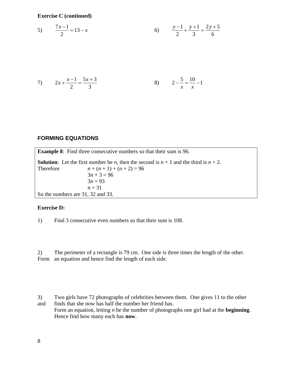**Exercise C (continued)**

5) 
$$
\frac{7x-1}{2} = 13 - x
$$
 6) 
$$
\frac{y-1}{2} + \frac{y+1}{3} = \frac{2y+5}{6}
$$

7) 
$$
2x + \frac{x-1}{2} = \frac{5x+3}{3}
$$
   
8)  $2 - \frac{5}{x} = \frac{10}{x} - 1$ 

## **FORMING EQUATIONS**

**Example 8**: Find three consecutive numbers so that their sum is 96. **Solution:** Let the first number be *n*, then the second is  $n + 1$  and the third is  $n + 2$ . Therefore  $n + (n + 1) + (n + 2) = 96$  $3n + 3 = 96$  $3n = 93$  $n = 31$ So the numbers are 31, 32 and 33.

#### **Exercise D:**

1) Find 3 consecutive even numbers so that their sum is 108.

2) The perimeter of a rectangle is 79 cm. One side is three times the length of the other. Form an equation and hence find the length of each side.

3) Two girls have 72 photographs of celebrities between them. One gives 11 to the other and finds that she now has half the number her friend has.

Form an equation, letting *n* be the number of photographs one girl had at the **beginning**. Hence find how many each has **now**.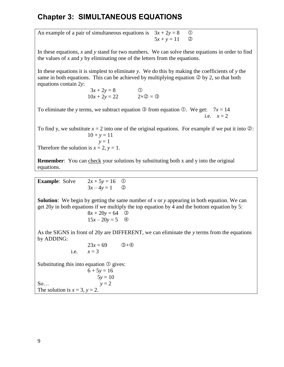# **Chapter 3: SIMULTANEOUS EQUATIONS**

An example of a pair of simultaneous equations is  $3x + 2y = 8$  ①  $5x + y = 11$  (2)

In these equations, *x* and *y* stand for two numbers. We can solve these equations in order to find the values of *x* and *y* by eliminating one of the letters from the equations.

In these equations it is simplest to eliminate *y*. We do this by making the coefficients of *y* the same in both equations. This can be achieved by multiplying equation  $\circledcirc$  by 2, so that both equations contain 2*y*:

> $3x + 2y = 8$  ①  $10x + 2y = 22$   $2 \times 2 = 3$

To eliminate the *y* terms, we subtract equation  $\circled{3}$  from equation  $\circled{0}$ . We get:  $7x = 14$ i.e.  $x = 2$ 

To find y, we substitute  $x = 2$  into one of the original equations. For example if we put it into  $\oslash$ :  $10 + y = 11$  $y = 1$ Therefore the solution is  $x = 2$ ,  $y = 1$ .

**Remember:** You can check your solutions by substituting both x and y into the original equations.

| <b>Example:</b> Solve | $2x + 5y = 16$ ① |  |
|-----------------------|------------------|--|
|                       | $3x-4y=1$ (2)    |  |

**Solution**: We begin by getting the same number of *x* or *y* appearing in both equation. We can get 20*y* in both equations if we multiply the top equation by 4 and the bottom equation by 5:

$$
8x + 20y = 64
$$
 ③  

$$
15x - 20y = 5
$$
 ④

As the SIGNS in front of 20*y* are DIFFERENT, we can eliminate the *y* terms from the equations by ADDING:

23x = 69 ③+④  
i.e. 
$$
x = 3
$$

Substituting this into equation  $\mathcal{D}$  gives:

 $6 + 5y = 16$  $5y = 10$ So...  $y = 2$ The solution is  $x = 3$ ,  $y = 2$ .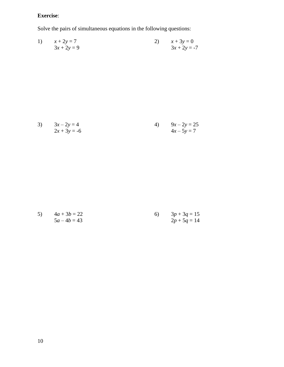# **Exercise**:

Solve the pairs of simultaneous equations in the following questions:

1) 
$$
x + 2y = 7
$$
  
  $3x + 2y = 9$   
2)  $x + 3y = 0$   
  $3x + 2y = -7$ 

3) 
$$
3x-2y = 4
$$
  
\n $2x + 3y = -6$   
\n4)  $9x-2y = 25$   
\n $4x-5y = 7$ 

5) 
$$
4a + 3b = 22
$$
  
\n $5a - 4b = 43$   
\n $2p + 5q = 14$   
\n $5a - 4b = 43$   
\n6)  $3p + 3q = 15$   
\n $2p + 5q = 14$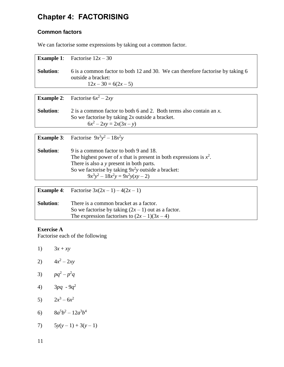# **Chapter 4: FACTORISING**

# **Common factors**

We can factorise some expressions by taking out a common factor.

|                  | <b>Example 1:</b> Factorise $12x - 30$                                                                                   |
|------------------|--------------------------------------------------------------------------------------------------------------------------|
| <b>Solution:</b> | 6 is a common factor to both 12 and 30. We can therefore factorise by taking 6<br>outside a bracket:<br>$12x-30=6(2x-5)$ |

|                  | <b>Example 2:</b> Factorise $6x^2 - 2xy$                                                                                                                 |
|------------------|----------------------------------------------------------------------------------------------------------------------------------------------------------|
| <b>Solution:</b> | 2 is a common factor to both 6 and 2. Both terms also contain an $x$ .<br>So we factorise by taking $2x$ outside a bracket.<br>$6x^2 - 2xy = 2x(3x - y)$ |

**Example 3**: Factorise  $9x^3y^2 - 18x^2y$ 

| <b>Solution:</b> | 9 is a common factor to both 9 and 18.                                |
|------------------|-----------------------------------------------------------------------|
|                  | The highest power of x that is present in both expressions is $x^2$ . |
|                  | There is also a y present in both parts.                              |
|                  | So we factorise by taking $9x^2y$ outside a bracket:                  |
|                  | $9x^3y^2 - 18x^2y = 9x^2y(xy - 2)$                                    |

|                  | <b>Example 4:</b> Factorise $3x(2x - 1) - 4(2x - 1)$                                                                                           |
|------------------|------------------------------------------------------------------------------------------------------------------------------------------------|
| <b>Solution:</b> | There is a common bracket as a factor.<br>So we factorise by taking $(2x - 1)$ out as a factor.<br>The expression factorises to $(2x-1)(3x-4)$ |

## **Exercise A**

Factorise each of the following

- 1)  $3x + xy$
- 2)  $4x^2 2xy$
- 3)  $pq^2 p^2q$
- 4)  $3pq 9q^2$
- 5)  $2x^3 6x^2$
- 6)  $8a^5b^2 12a^3b^4$
- 7)  $5y(y-1) + 3(y-1)$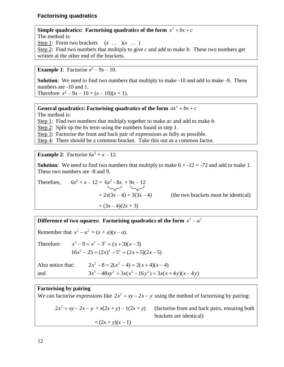## **Factorising quadratics**

**Simple quadratics: Factorising quadratics of the form**  $x^2 + bx + c$ The method is: Step 1: Form two brackets  $(x \dots)(x \dots)$ Step 2: Find two numbers that multiply to give *c* and add to make *b*. These two numbers get written at the other end of the brackets.

**Example 1**: Factorise  $x^2 - 9x - 10$ .

**Solution**: We need to find two numbers that multiply to make -10 and add to make -9. These numbers are -10 and 1. Therefore  $x^2 - 9x - 10 = (x - 10)(x + 1)$ .

**General quadratics: Factorising quadratics of the form**  $ax^2 + bx + c$ 

The method is:

Step 1: Find two numbers that multiply together to make *ac* and add to make *b*.

Step 2: Split up the *bx* term using the numbers found in step 1.

Step 3: Factorise the front and back pair of expressions as fully as possible.

Step 4: There should be a common bracket. Take this out as a common factor.

**Example 2:** Factorise  $6x^2 + x - 12$ .

**Solution**: We need to find two numbers that multiply to make  $6 \times -12 = -72$  and add to make 1. These two numbers are -8 and 9.

Therefore, 
$$
6x^2 + x - 12 = 6x^2 - 8x + 9x - 12
$$
  
=  $2x(3x - 4) + 3(3x - 4)$   
=  $(3x - 4)(2x + 3)$ 

(the two brackets must be identical)

**Difference of two squares: Factorising quadratics of the form**  $x^2 - a^2$ 

Remember that  $x^2 - a^2 = (x + a)(x - a)$ . Therefore:  $x^{2}-9=x^{2}-3^{2}=(x+3)(x-3)$  $16x^{2} - 25 = (2x)^{2} - 5^{2} = (2x + 5)(2x - 5)$ Also notice that:  $2x^{2} - 8 = 2(x^{2} - 4) = 2(x + 4)(x - 4)$ and  $3x^3 - 48xy^2 = 3x(x^2 - 16y^2) = 3x(x + 4y)(x - 4y)$ 

## **Factorising by pairing**

We can factorise expressions like  $2x^2 + xy - 2x - y$  using the method of factorising by pairing:  $2x^2 + xy - 2x - y = x(2x + y) - 1(2x + y)$  (factorise front and back pairs, ensuring both brackets are identical)  $=(2x + y)(x - 1)$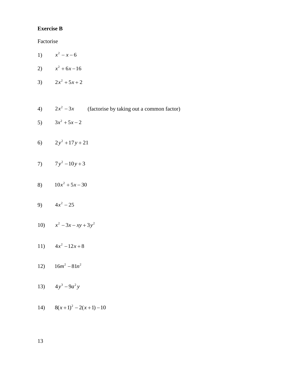## **Exercise B**

Factorise

- 1)  $x^2 x 6$
- 2)  $x^2 + 6x 16$
- 3)  $2x^2 + 5x + 2$
- 4)  $2x^2 3x$  (factorise by taking out a common factor)
- 5)  $3x^2 + 5x - 2$
- 6)  $2y^2 + 17y + 21$
- 7)  $7y^2 10y + 3$
- 8)  $10x^2 + 5x 30$
- 9)  $4x^2 25$
- 10)  $x^2 3x xy + 3y^2$
- 11)  $4x^2 12x + 8$
- 12)  $16m^2 81n^2$
- 13)  $4y^3 9a^2y$
- 14)  $8(x+1)^2 2(x+1) 10$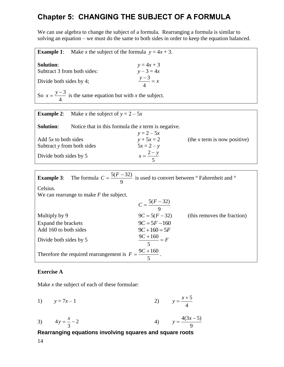# **Chapter 5: CHANGING THE SUBJECT OF A FORMULA**

We can use algebra to change the subject of a formula. Rearranging a formula is similar to solving an equation – we must do the same to both sides in order to keep the equation balanced.

**Example 1:** Make *x* the subject of the formula  $y = 4x + 3$ . **Solution:**  $y = 4x + 3$ <br> **Subtract 3 from both sides:**  $y - 3 = 4x$ Subtract 3 from both sides: Divide both sides by 4; 3 4  $\frac{y-3}{x} = x$ So  $x = \frac{y-3}{1}$ 4  $x = \frac{y-3}{1}$  is the same equation but with *x* the subject.

| <b>Example 2:</b>                                    | Make x the subject of $y = 2 - 5x$                    |                              |                              |
|------------------------------------------------------|-------------------------------------------------------|------------------------------|------------------------------|
| <b>Solution:</b>                                     | Notice that in this formula the $x$ term is negative. | $y = 2 - 5x$                 |                              |
| Add $5x$ to both sides<br>Subtract y from both sides |                                                       | $y + 5x = 2$<br>$5x = 2 - y$ | (the x term is now positive) |
| Divide both sides by 5                               |                                                       | $x = \frac{2-y}{5}$          |                              |

| <b>Example 3:</b> The formula $C = \frac{5(F-32)}{9}$ is used to convert between $\degree$ Fahrenheit and $\degree$ |                         |                             |
|---------------------------------------------------------------------------------------------------------------------|-------------------------|-----------------------------|
| Celsius.                                                                                                            |                         |                             |
| We can rearrange to make $F$ the subject.                                                                           |                         |                             |
|                                                                                                                     | $C = \frac{5(F-32)}{9}$ |                             |
| Multiply by 9                                                                                                       | $9C = 5(F - 32)$        | (this removes the fraction) |
| Expand the brackets                                                                                                 | $9C = 5F - 160$         |                             |
| Add 160 to both sides                                                                                               | $9C+160=5F$             |                             |
| Divide both sides by 5                                                                                              | $\frac{9C+160}{5} = F$  |                             |
| Therefore the required rearrangement is $F = \frac{9C + 160}{5}$ .                                                  |                         |                             |

## **Exercise A**

Make *x* the subject of each of these formulae:

1)  $y = 7x - 1$ 5 4  $y = \frac{x+1}{x}$ 

3) 
$$
4y = \frac{x}{3} - 2
$$
 4)  $y = \frac{4(3x - 5)}{9}$ 

# **Rearranging equations involving squares and square roots**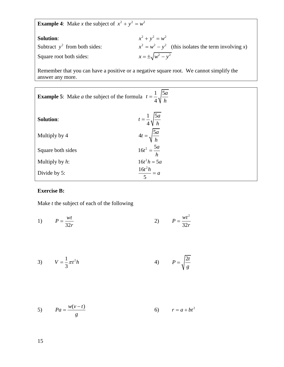**Example 4:** Make *x* the subject of  $x^2 + y^2 = w^2$ 

| <b>Solution:</b>                | $x^{2} + y^{2} = w^{2}$                                      |
|---------------------------------|--------------------------------------------------------------|
| Subtract $y^2$ from both sides: | $x^{2} = w^{2} - y^{2}$ (this isolates the term involving x) |
| Square root both sides:         | $x = \pm \sqrt{w^2 - y^2}$                                   |

Remember that you can have a positive or a negative square root. We cannot simplify the answer any more.

| <b>Example 5:</b> Make <i>a</i> the subject of the formula $t = \frac{1}{4} \sqrt{\frac{5a}{h}}$ |                                       |  |  |
|--------------------------------------------------------------------------------------------------|---------------------------------------|--|--|
| <b>Solution:</b>                                                                                 | $t = \frac{1}{4} \sqrt{\frac{5a}{h}}$ |  |  |
| Multiply by 4                                                                                    | $4t = \sqrt{\frac{5a}{h}}$            |  |  |
| Square both sides                                                                                | $16t^2 = \frac{5a}{h}$                |  |  |
| Multiply by $h$ :                                                                                | $16t^2h = 5a$                         |  |  |
| Divide by 5:                                                                                     | $\frac{16t^2h}{5} = a$                |  |  |

## **Exercise B:**

Make *t* the subject of each of the following

1) 
$$
P = \frac{wt}{32r}
$$
 2) 
$$
P = \frac{wt^2}{32r}
$$

$$
V = \frac{1}{3}\pi t^2 h \qquad (4) \qquad P = \sqrt{\frac{2t}{g}}
$$

$$
5) \t Pa = \frac{w(v-t)}{g} \t 6) \t r = a + bt^2
$$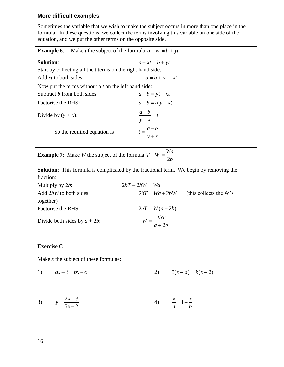## **More difficult examples**

Sometimes the variable that we wish to make the subject occurs in more than one place in the formula. In these questions, we collect the terms involving this variable on one side of the equation, and we put the other terms on the opposite side.

| Make <i>t</i> the subject of the formula $a - xt = b + yt$<br><b>Example 6:</b> |                                |  |  |
|---------------------------------------------------------------------------------|--------------------------------|--|--|
| <b>Solution:</b>                                                                | $a - xt = b + yt$              |  |  |
| Start by collecting all the t terms on the right hand side:                     |                                |  |  |
| Add xt to both sides:                                                           | $a = b + yt + xt$              |  |  |
| Now put the terms without a t on the left hand side:                            |                                |  |  |
| Subtract <i>b</i> from both sides:                                              | $a-b = yt + xt$                |  |  |
| Factorise the RHS:                                                              | $a-b = t(y + x)$               |  |  |
| Divide by $(y + x)$ :                                                           | $\frac{a-b}{a} = t$<br>$y + x$ |  |  |
| So the required equation is                                                     | $t=\frac{a-b}{a}$<br>$y + x$   |  |  |

| <b>Example 7:</b> Make <i>W</i> the subject of the formula $T - W = \frac{Wa}{m}$ |  |  |
|-----------------------------------------------------------------------------------|--|--|
|                                                                                   |  |  |

**Solution**: This formula is complicated by the fractional term. We begin by removing the fraction:

| Multiply by $2b$ :              | $2bT - 2bW = Wa$       |                        |
|---------------------------------|------------------------|------------------------|
| Add 2bW to both sides:          | $2bT = Wa + 2bW$       | (this collects the W's |
| together)                       |                        |                        |
| Factorise the RHS:              | $2bT = W(a + 2b)$      |                        |
| Divide both sides by $a + 2b$ : | $W = \frac{2bT}{a+2b}$ |                        |

#### **Exercise C**

Make *x* the subject of these formulae:

1) 
$$
ax+3=bx+c
$$
 2)  $3(x+a)=k(x-2)$ 

3) 
$$
y = \frac{2x+3}{5x-2}
$$
 4)  $\frac{x}{a} = 1 + \frac{x}{b}$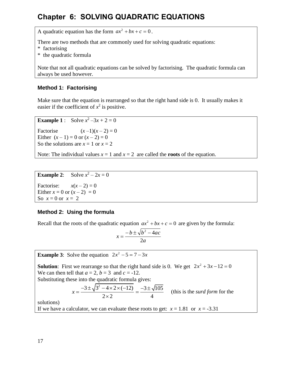# **Chapter 6: SOLVING QUADRATIC EQUATIONS**

A quadratic equation has the form  $ax^2 + bx + c = 0$ .

There are two methods that are commonly used for solving quadratic equations:

- \* factorising
- \* the quadratic formula

Note that not all quadratic equations can be solved by factorising. The quadratic formula can always be used however.

# **Method 1: Factorising**

Make sure that the equation is rearranged so that the right hand side is 0. It usually makes it easier if the coefficient of  $x^2$  is positive.

**Example 1** : Solve  $x^2 - 3x + 2 = 0$ 

Factorise  $(x-1)(x-2) = 0$ Either  $(x - 1) = 0$  or  $(x - 2) = 0$ So the solutions are  $x = 1$  or  $x = 2$ 

Note: The individual values  $x = 1$  and  $x = 2$  are called the **roots** of the equation.

**Example 2:** Solve  $x^2 - 2x = 0$ Factorise:  $x(x-2) = 0$ Either  $x = 0$  or  $(x - 2) = 0$ So  $x = 0$  or  $x = 2$ 

## **Method 2: Using the formula**

Recall that the roots of the quadratic equation  $ax^2 + bx + c = 0$  are given by the formula:

$$
x = \frac{-b \pm \sqrt{b^2 - 4ac}}{2a}
$$

**Example 3:** Solve the equation  $2x^2 - 5 = 7 - 3x$ 

**Solution**: First we rearrange so that the right hand side is 0. We get  $2x^2 + 3x - 12 = 0$ We can then tell that  $a = 2$ ,  $b = 3$  and  $c = -12$ .

Substituting these into the quadratic formula gives:  
\n
$$
x = \frac{-3 \pm \sqrt{3^2 - 4 \times 2 \times (-12)}}{2 \times 2} = \frac{-3 \pm \sqrt{105}}{4}
$$
 (this is the *surd form* for the

solutions)

If we have a calculator, we can evaluate these roots to get:  $x = 1.81$  or  $x = -3.31$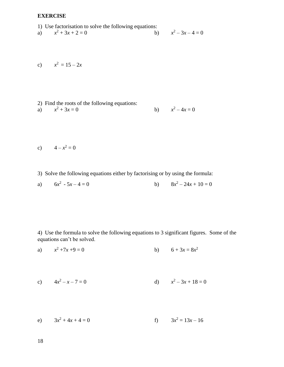## **EXERCISE**

1) Use factorisation to solve the following equations:

a) 
$$
x^2 + 3x + 2 = 0
$$
 b)  $x^2 - 3x - 4 = 0$ 

$$
x^2 = 15 - 2x
$$

2) Find the roots of the following equations:  
a) 
$$
x^2 + 3x = 0
$$
 b)  $x^2 - 4x = 0$ 

$$
c) \qquad 4 - x^2 = 0
$$

3) Solve the following equations either by factorising or by using the formula:

a) 
$$
6x^2 - 5x - 4 = 0
$$
 b)  $8x^2 - 24x + 10 = 0$ 

4) Use the formula to solve the following equations to 3 significant figures. Some of the equations can't be solved.

a) 
$$
x^2 + 7x + 9 = 0
$$
 b)  $6 + 3x = 8x^2$ 

c) 
$$
4x^2 - x - 7 = 0
$$
 d)  $x^2 - 3x + 18 = 0$ 

e) 
$$
3x^2 + 4x + 4 = 0
$$
  
f)  $3x^2 = 13x - 16$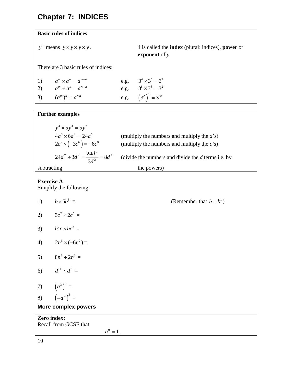# **Chapter 7: INDICES**

## **Basic rules of indices**

$$
y^4
$$
 means  $y \times y \times y \times y$ .

*y y y y y* means . 4 is called the **index** (plural: indices), **power** or **exponent** of *y*.

There are 3 basic rules of indices:

| 1) $a^m \times a^n = a^{m+n}$ | e.g. $3^4 \times 3^5 = 3^9$ |
|-------------------------------|-----------------------------|
| 2) $a^m \div a^n = a^{m-n}$   | e.g. $3^8 \times 3^6 = 3^2$ |
| 3) $(a^m)^n = a^{mn}$         | e.g. $(3^2)^3 = 3^{10}$     |

#### **Further examples**  $y^4 \times 5y^3 = 5y^7$  $4a^3 \times 6a^2 = 24a^5$ (multiply the numbers and multiply the *a*'s)  $2c^2 \times (-3c^6) = -6c^8$ (multiply the numbers and multiply the *c*'s)  $7 \div 3d^2 - \frac{24d^7}{9} - 8d^5$  $24d^7 \div 3d^2 = \frac{24d^7}{3d^2} = 8$  $d^7 \div 3d^2 = \frac{24d^7}{3d^2} = 8d$  $\div 3d^2 = \frac{24d^7}{3l^2} = 8d$ (divide the numbers and divide the *d* terms i.e. by subtracting the powers)

# **Exercise A**

Simplify the following:

1) 
$$
b \times 5b^5 =
$$
  
\n2)  $3c^2 \times 2c^5 =$   
\n3)  $b^2c \times bc^3 =$   
\n4)  $2n^6 \times (-6n^2) =$   
\n5)  $8n^8 \div 2n^3 =$   
\n6)  $d^{11} \div d^9 =$   
\n7)  $(a^3)^2 =$   
\n8)  $(-d^4)^3 =$   
\n**More complex powers**  
\n**Zero index:**  
\nRecall from GCSE that  
\n $a^0 = 1$ .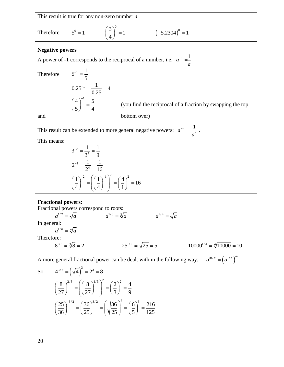This result is true for any non-zero number *a*.  
Therefore 
$$
5^0 = 1
$$
  $\left(\frac{3}{4}\right)^0 = 1$   $\left(-5.2304\right)^0 = 1$ 

#### **Negative powers**

A power of -1 corresponds to the reciprocal of a number, i.e.  $a^{-1} = \frac{1}{a}$ *a*  $^{-1}$  = Therefore  $5^{-1} = \frac{1}{1}$ 5  $^{-1}$  =  $0.25^{-1} = \frac{1}{2.25} = 4$ 0.25  $\frac{-1}{2} = \frac{1}{2 \cdot 25} = 4$  $4\big)^{-1}$  5 5) 4  $\left(\frac{4}{5}\right)^{-1}$  = (you find the reciprocal of a fraction by swapping the top and bottom over) This result can be extended to more general negative powers:  $a^{-n} = \frac{1}{a^{-n}}$  $a^{-n} = \frac{1}{a^n}$ *a*  $n = \frac{1}{n}$ . This means: 2 2  $3^{-2} = \frac{1}{2} = \frac{1}{3}$  $3^2$  9  $\overline{a}$  $=\frac{1}{2^{2}}$ 

s:  
\n
$$
3^{-2} = \frac{1}{3^2} = \frac{1}{9}
$$
\n
$$
2^{-4} = \frac{1}{2^4} = \frac{1}{16}
$$
\n
$$
\left(\frac{1}{4}\right)^{-2} = \left(\left(\frac{1}{4}\right)^{-1}\right)^2 = \left(\frac{4}{1}\right)^2 = 16
$$

#### **Fractional powers:**

Fractional powers correspond to roots: al powers correspond to roots:<br>  $a^{1/2} = \sqrt{a}$   $a^{1/3} = \sqrt[3]{a}$   $a^{1/4} = \sqrt[4]{a}$ **a** al powers:<br>  $a^{1/2} = \sqrt{a}$   $a^{1/3} = \sqrt[3]{a}$   $a^{1/4} = \sqrt[4]{a}$ In general:  $a^{1/n} = \sqrt[n]{a}$ Therefore:  $8^{1/3} = \sqrt[3]{8} = 2$  $25^{1/2} = \sqrt{25} = 5$  $10000^{1/4} = \sqrt[4]{10000} = 10$ A more general fractional power can be dealt with in the following way:  $a^{m/n} = (a^{1/n})^m$ So  $4^{3/2} = (\sqrt{4})^3 = 2^3 = 8$  $\left(\frac{8}{2}\right)^{2/3} - \left(\left(\frac{8}{2}\right)^{1/3}\right)^2 - \left(\frac{2}{2}\right)^2 - \frac{4}{3}$  $\left(\frac{8}{27}\right) = \left(\frac{8}{27}\right) = \left(\frac{2}{3}\right) = \frac{4}{9}$  $\left(\frac{8}{2}\right)^{2/3} = \left(\frac{8}{2}\right)^{1/3}\right)^{2} = \left(\frac{2}{2}\right)^{2} = \frac{4}{3}$  $\left(\frac{8}{27}\right)^{2/3} = \left(\left(\frac{8}{27}\right)^{1/3}\right)^2 = \left(\frac{2}{3}\right)^2 = \frac{4}{9}$ 3  $\left(\frac{27}{\sqrt{5}}\right)^{3/2} = \left(\frac{36}{\sqrt{5}}\right)^{3/2} = \left(\frac{36}{\sqrt{5}}\right)^3 = \left(\frac{6}{\sqrt{5}}\right)^3 = \frac{216}{\sqrt{5}}$  $\left(\frac{25}{36}\right)^{-3/2} = \left(\frac{36}{25}\right)^{3/2} = \left(\sqrt{\frac{36}{25}}\right)^3 = \left(\frac{6}{5}\right)^3 = \frac{216}{125}$  $\left(\frac{27}{36}\right)^{-3/2} = \left(\frac{36}{25}\right)^{3/2} = \left(\sqrt{\frac{36}{25}}\right)^3 = \left(\frac{6}{5}\right)^3 = \frac{216}{125}$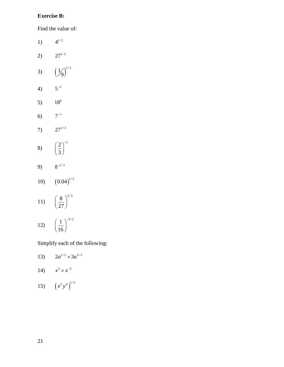# **Exercise B:**

Find the value of:

1)  $4^{1/2}$ 2)  $27^{1/3}$ 3)  $\left(\frac{1}{9}\right)^{1/2}$  $\overline{9}$ 4)  $5^{-2}$ 5)  $18^{0}$ 6)  $7^{-1}$ 7)  $27^{2/3}$ 8)  $2)^{-2}$ 3  $\left(\frac{2}{3}\right)^{-}$ 9)  $8^{-2/3}$ 10)  $(0.04)^{1/2}$ 

$$
11)\quad \left(\frac{8}{27}\right)^{2/3}
$$

$$
12)\quad \left(\frac{1}{16}\right)^{-3/2}
$$

Simplify each of the following:

13) 
$$
2a^{1/2} \times 3a^{5/2}
$$

$$
14) \qquad x^3 \times x^{-2}
$$

15) 
$$
(x^2y^4)^{1/2}
$$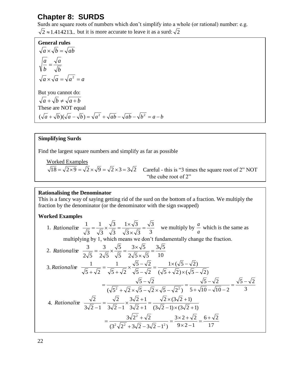# **Chapter 8: SURDS**

Surds are square roots of numbers which don't simplify into a whole (or rational) number: e.g.

 $2 \approx 1.414213$ ... but it is more accurate to leave it as a surd:  $\sqrt{2}$ 

**General rules** *b a b*  $\frac{a}{a}$  =  $a \times \sqrt{b} = \sqrt{ab}$  $a \times \sqrt{a} = \sqrt{a^2} = a$ But you cannot do:  $\sqrt{a} + \sqrt{b} \neq \sqrt{a+b}$ These are NOT equal  $\frac{a}{a} + \sqrt{b}$   $\left(\sqrt{a} - \sqrt{b}\right) = \sqrt{a^2} + \sqrt{ab} - \sqrt{ab} - \sqrt{b^2} = a - b$  $(\sqrt{a} + \sqrt{b})(\sqrt{a} - \sqrt{b}) = \sqrt{a^2 + \sqrt{ab}} - \sqrt{ab} - \sqrt{b^2}$ 

#### **Simplifying Surds**

Find the largest square numbers and simplify as far as possible

Worked Examples<br> $\sqrt{18} = \sqrt{2 \times 9} = \sqrt{2} \times \sqrt{9} = \sqrt{2} \times 3 = 3\sqrt{2}$ 

Careful - this is "3 times the square root of 2" NOT "the cube root of 2"

#### **Rationalising the Denominator**

This is a fancy way of saying getting rid of the surd on the bottom of a fraction. We multiply the fraction by the denominator (or the denominator with the sign swapped)

#### **Worked Examples**

1. 3 3  $3 \times \sqrt{3}$  $1 \times \sqrt{3}$ 3 3 3 1 3  $\frac{1}{\sqrt{2}} = \frac{1}{\sqrt{2}} \times \frac{\sqrt{3}}{\sqrt{2}} = \frac{1 \times \sqrt{3}}{\sqrt{2}} =$  $\times$ *Rationalise*  $\frac{1}{\sqrt{5}} = \frac{1}{\sqrt{5}} \times \frac{\sqrt{3}}{\sqrt{5}} = \frac{1 \times \sqrt{3}}{\sqrt{5}} = \frac{\sqrt{3}}{2}$  we multiply by *a*  $\frac{a}{b}$  which is the same as multiplying by 1, which means we don't fundamentally change the fraction. 2.  $3\sqrt{5}$  $3 \times \sqrt{5}$ 5 3  $\frac{3}{\sqrt{2}} = \frac{3}{\sqrt{2}} \times \frac{\sqrt{5}}{\sqrt{2}} = \frac{3 \times \sqrt{5}}{\sqrt{2}} =$ *Rationalise*  $\frac{3}{\sqrt{5}} = \frac{3}{\sqrt{5}} \times \frac{\sqrt{5}}{\sqrt{5}} = \frac{3 \times \sqrt{5}}{\sqrt{5}}$ 

3. Rationalise 
$$
\frac{2\sqrt{5}}{\sqrt{5} + \sqrt{2}} = \frac{1}{\sqrt{5} + \sqrt{2}} \times \frac{\sqrt{5} - \sqrt{2}}{\sqrt{5} - \sqrt{2}} = \frac{1 \times (\sqrt{5} - \sqrt{2})}{(\sqrt{5} + \sqrt{2}) \times (\sqrt{5} - \sqrt{2})}
$$

$$
= \frac{\sqrt{5} - \sqrt{2}}{(\sqrt{5} + \sqrt{2}) \times (\sqrt{5} - \sqrt{2})} = \frac{\sqrt{5} - \sqrt{2}}{(\sqrt{5} + \sqrt{2}) \times (\sqrt{5} - \sqrt{2})} = \frac{\sqrt{5} - \sqrt{2}}{5 + \sqrt{10} - \sqrt{10} - 2} = \frac{\sqrt{5} - \sqrt{2}}{3}
$$
4. Rationalise 
$$
\frac{\sqrt{2}}{3\sqrt{2} - 1} = \frac{\sqrt{2}}{3\sqrt{2} - 1} \times \frac{3\sqrt{2} + 1}{3\sqrt{2} + 1} = \frac{\sqrt{2} \times (3\sqrt{2} + 1)}{(3\sqrt{2} - 1) \times (3\sqrt{2} + 1)}
$$

$$
= \frac{3\sqrt{2^2} + \sqrt{2}}{(3^2\sqrt{2^2} + 3\sqrt{2} - 3\sqrt{2} - 1^2)} = \frac{3 \times 2 + \sqrt{2}}{9 \times 2 - 1} = \frac{6 + \sqrt{2}}{17}
$$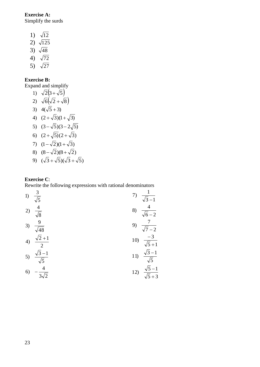**Exercise A:** Simplify the surds

- 1)  $\sqrt{12}$
- 2)  $\sqrt{125}$
- 3)  $\sqrt{48}$
- 4)  $\sqrt{72}$
- 5)  $\sqrt{27}$

## **Exercise B:**

Expand and simplify

1)  $\sqrt{2}(3+\sqrt{5})$ 2)  $\sqrt{6}(\sqrt{2} + \sqrt{8})$ 3)  $4(\sqrt{5}+3)$ 4)  $(2+\sqrt{3})(1+\sqrt{3})$ 5)  $(3-\sqrt{5})(3-2\sqrt{5})$ 6)  $(2+\sqrt{5})(2+\sqrt{3})$ 7)  $(1-\sqrt{2})(1+\sqrt{3})$ 8)  $(8-\sqrt{2})(8+\sqrt{2})$ 9)  $(\sqrt{3} + \sqrt{5})(\sqrt{3} + \sqrt{5})$ 

## **Exercise C**:

Rewrite the following expressions with rational denominators

1) 
$$
\frac{3}{\sqrt{5}}
$$
  
\n2)  $\frac{4}{\sqrt{8}}$   
\n3)  $\frac{9}{\sqrt{48}}$   
\n4)  $\frac{\sqrt{2}+1}{2}$   
\n5)  $\frac{\sqrt{3}-1}{\sqrt{5}}$   
\n6)  $-\frac{4}{3\sqrt{2}}$   
\n7)  $\frac{1}{\sqrt{3}-1}$   
\n8)  $\frac{4}{\sqrt{6}-2}$   
\n9)  $\frac{7}{\sqrt{7}-2}$   
\n10)  $\frac{-3}{\sqrt{5}+1}$   
\n11)  $\frac{\sqrt{3}-1}{\sqrt{5}}$   
\n12)  $\frac{\sqrt{5}-1}{\sqrt{5}+3}$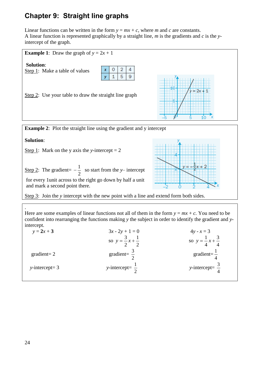# **Chapter 9: Straight line graphs**

Linear functions can be written in the form  $y = mx + c$ , where *m* and *c* are constants. A linear function is represented graphically by a straight line, *m* is the gradients and *c* is the *y*intercept of the graph.



**Example 2:** Plot the straight line using the gradient and y intercept

**Solution**:

Step 1: Mark on the *y* axis the *y*-intercept  $= 2$ 

Step 2: The gradient= 2  $-\frac{1}{2}$  so start from the *y*-intercept

for every 1unit across to the right go down by half a unit and mark a second point there.



Step 3: Join the *y* intercept with the new point with a line and extend form both sides.

. Here are some examples of linear functions not all of them in the form  $y = mx + c$ . You need to be confident into rearranging the functions making *y* the subject in order to identify the gradient and *y*intercept.

| $y = 2x + 3$      | $3x - 2y + 1 = 0$                   | $4y - x = 3$                        |
|-------------------|-------------------------------------|-------------------------------------|
|                   | so $y = \frac{3}{2}x + \frac{1}{2}$ | so $y = \frac{1}{4}x + \frac{3}{4}$ |
| $gradient=2$      | gradient= $\frac{3}{2}$             | gradient= $\frac{1}{4}$             |
| $y-intercept = 3$ | y-intercept= $\frac{1}{2}$          | y-intercept= $\frac{3}{4}$          |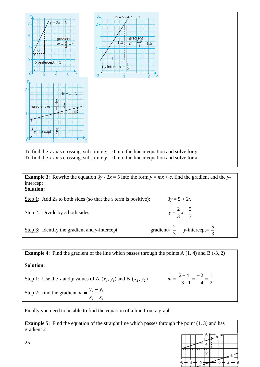

**Example 3**: Rewrite the equation  $3y - 2x = 5$  into the form  $y = mx + c$ , find the gradient and the *y*intercept **Solution**:

| Step 1: Add 2x to both sides (so that the x term is positive): | $3y = 5 + 2x$                                      |
|----------------------------------------------------------------|----------------------------------------------------|
| Step 2: Divide by 3 both sides:                                | $y = \frac{2}{3}x + \frac{5}{3}$                   |
| Step $3$ : Identify the gradient and y-intercept               | gradient= $\frac{2}{3}$ y-intercept= $\frac{5}{3}$ |

**Example 4:** Find the gradient of the line which passes through the points A  $(1, 4)$  and B  $(-3, 2)$ **Solution**: Step 1: Use the *x* and *y* values of A  $(x_1, y_1)$  and B  $(x_2, y_2)$ 2 1 4 2  $3 - 1$  $\frac{2-4}{2} = \frac{-2}{4}$  $\overline{a}$  $=$  $\frac{1}{2}$  $-3$  $m = \frac{2-4}{2} = \frac{-2}{4} = \frac{1}{2}$ Step 2: find the gradient  $2 - \lambda_1$  $2 - y_1$  $x_2 - x$  $m = \frac{y_2 - y}{ }$  $\overline{a}$  $=\frac{y_2-y_1}{x_2-x_1}$ 

Finally you need to be able to find the equation of a line from a graph.

**Example 5**: Find the equation of the straight line which passes through the point (1, 3) and has gradient 2

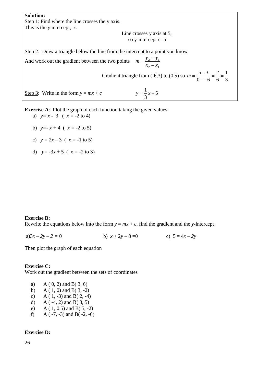**Solution:** Step 1: Find where the line crosses the y axis. This is the *y* intercept, *c.*

Line crosses y axis at 5, so y-intercept c=5

Step 2: Draw a triangle below the line from the intercept to a point you know

And work out the gradient between the two points 2  $\lambda_1$  $2 - y_1$  $x_2 - x$  $m = \frac{y_2 - y}{ }$  $\overline{a}$  $=\frac{y_2-1}{x_2-1}$ 

Gradient triangle from  $(-6,3)$  to  $(0,5)$  so 3 1 6 2  $0 - -6$  $\frac{5-3}{2} = \frac{2}{3}$  $$  $m = \frac{5}{2}$ 

5

3  $y = \frac{1}{2}x +$ 

Step 3: Write in the form  $y = mx + c$ 

**Exercise A:** Plot the graph of each function taking the given values a)  $y=x-3(x) = -2$  to 4)

- b)  $y = -x + 4$  ( $x = -2$  to 5)
- c)  $y = 2x 3$  ( $x = -1$  to 5)
- d)  $y = -3x + 5$  ( $x = -2$  to 3)

#### **Exercise B:**

Rewrite the equations below into the form  $y = mx + c$ , find the gradient and the *y*-intercept

a) $3x - 2y - 2 = 0$  b)  $x + 2y - 8 = 0$  c)  $5 = 4x - 2y$ 

Then plot the graph of each equation

#### **Exercise C:**

Work out the gradient between the sets of coordinates

- a) A ( 0, 2) and B( 3, 6)
- b) A ( 1, 0) and B( 3, -2)
- c) A ( $1, -3$ ) and B( $2, -4$ )
- d) A ( $-4$ , 2) and B( $3$ , 5)
- e) A ( 1, 0.5) and B( 5, -2)
- f) A  $(-7, -3)$  and B $(-2, -6)$

#### **Exercise D:**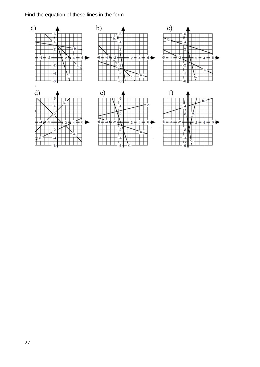# Find the equation of these lines in the form

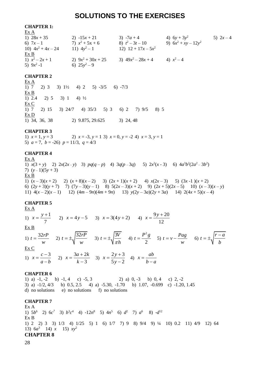# **SOLUTIONS TO THE EXERCISES**

#### **CHAPTER 1:**

| Ex A                 |                      |                       |                        |           |
|----------------------|----------------------|-----------------------|------------------------|-----------|
| 1) $28x + 35$        | 2) $-15x + 21$       | 3) $-7a + 4$          | 4) $6y + 3y^2$         | 5) $2x-4$ |
| 6) $7x-1$            | 7) $x^2 + 5x + 6$    | 8) $t^2-3t-10$        | 9) $6x^2 + xy - 12y^2$ |           |
| 10) $4x^2 + 4x - 24$ | 11) $4y^2-1$         | 12) $12 + 17x - 5x^2$ |                        |           |
| Ex B                 |                      |                       |                        |           |
| 1) $x^2-2x+1$        | 2) $9x^2 + 30x + 25$ | 3) $49x^2 - 28x + 4$  | 4) $x^2-4$             |           |
| 5) $9x^2 - 1$        | 6) $25y^2-9$         |                       |                        |           |

#### **CHAPTER 2**

Ex A 1)  $7$  2)  $3$  3)  $1\frac{1}{2}$  4)  $2$  5)  $-3/5$  6)  $-7/3$ Ex B 1) 2.4 2) 5 3) 1 4)  $\frac{1}{2}$ Ex C 1) 7 2) 15 3) 24/7 4) 35/3 5) 3 6) 2 7) 9/5 8) 5 Ex D 1) 34, 36, 38 2) 9.875, 29.625 3) 24, 48

#### **CHAPTER 3**

1)  $x = 1, y = 3$  2)  $x = -3, y = 1$  3)  $x = 0, y = -2$  4)  $x = 3, y = 1$ 5)  $a = 7$ ,  $b = -26$ )  $p = 11/3$ ,  $q = 4/3$ 

#### **CHAPTER 4**

Ex A

1)  $x(3 + y)$  2)  $2x(2x - y)$  3)  $pq(q - p)$  4)  $3q(p - 3q)$  5)  $2x^2(x - 3)$  6)  $4a^3b^2(2a^2 - 3b^2)$ 7)  $(y-1)(5y+3)$ Ex B 1)  $(x-3)(x+2)$  2)  $(x+8)(x-2)$  3)  $(2x+1)(x+2)$  4)  $x(2x-3)$  5)  $(3x-1)(x+2)$ 6) (2*y* + 3)(*y* + 7) 7) (7*y* – 3)(*y* – 1) 8) 5(2*x* – 3)(*x* + 2) 9) (2*x* + 5)(2*x* – 5) 10) (*x* – 3)(*x* – *y*) 11)  $4(x-2)(x-1)$  12)  $(4m-9n)(4m+9n)$  13)  $y(2y-3a)(2y+3a)$  14)  $2(4x+5)(x-4)$ 

#### **CHAPTER 5**

Ex A 1)  $x = \frac{y+1}{-}$ 7  $x = \frac{y+1}{z}$  2)  $x = 4y-5$  3)  $x = 3(4y+2)$  4)  $x = \frac{9y+20}{z}$ 12  $x = \frac{9y+1}{12}$ Ex B 1)  $t = \frac{32rP}{r}$ *w*  $=\frac{32rP}{r^2}$  2)  $t=\pm \sqrt{\frac{32rP}{r^2}}$ *w*  $= \pm \sqrt{\frac{32rP}{r}}$  (3)  $t = \pm \sqrt{\frac{3V}{r}}$  *h*  $=\pm \sqrt{\frac{3r}{4}}$  4) 2 2  $t = \frac{P^2 g}{\epsilon}$  (5)  $t = v - \frac{Pag}{\epsilon}$ *w*  $= v - \frac{Pag}{f}$  6)  $t = \pm \sqrt{\frac{r - a}{f}}$ *b*  $=\pm\sqrt{\frac{r-}{r}}$ Ex C 1)  $x = \frac{c-3}{1}$  $a - b$  $=\frac{c-1}{c}$  $\overline{a}$ 2)  $x = \frac{3a+2}{1}$ 3  $x = \frac{3a + 2k}{a}$ *k*  $=\frac{3a+1}{2}$  $\overline{a}$ 3)  $x = \frac{2y+3}{1}$  $5y - 2$  $x = \frac{2y}{a}$ *y*  $=\frac{2y+}{x}$  $\overline{a}$ 4)  $x = \frac{ab}{b}$  $b - a$  $=$  $\overline{a}$ 

#### **CHAPTER 6**

1) a)  $-1, -2$  b)  $-1, 4$  c)  $-5, 3$  2) a) 0,  $-3$  b) 0, 4 c) 2,  $-2$ 3) a) -1/2, 4/3 b) 0.5, 2.5 4) a) -5.30, -1.70 b) 1.07, -0.699 c) -1.20, 1.45 d) no solutions e) no solutions f) no solutions

#### **CHAPTER 7**

Ex A 1)  $5b^6$  2)  $6c^7$  3)  $b^3c^4$  4)  $-12n^8$  5)  $4n^5$  6)  $d^2$  7)  $a^6$  8)  $-d^{12}$ Ex B 1) 2 2) 3 3) 1/3 4) 1/25 5) 1 6) 1/7 7) 9 8) 9/4 9) ¼ 10) 0.2 11) 4/9 12) 64 13)  $6a^3$  14) *x* 15)  $xy^2$ **CHAPTER 8**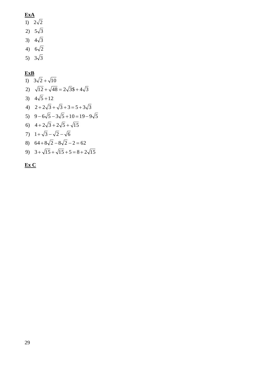# **ExA**

- 1)  $2\sqrt{2}$
- 2)  $5\sqrt{3}$
- 3)  $4\sqrt{3}$
- 4)  $6\sqrt{2}$
- 5)  $3\sqrt{3}$

# **ExB**

- 8)  $64 + 8\sqrt{2} 8\sqrt{2} 2 = 62$ 7)  $1 + \sqrt{3} - \sqrt{2} - \sqrt{6}$ 6)  $4 + 2\sqrt{3} + 2\sqrt{5} + \sqrt{15}$  $5)$  9 -  $6\sqrt{5}$  -  $3\sqrt{5}$  +  $10$  =  $19$  -  $9\sqrt{5}$ 4)  $2 + 2\sqrt{3} + \sqrt{3} + 3 = 5 + 3\sqrt{3}$ 3)  $4\sqrt{5} + 12$ 2)  $\sqrt{12} + \sqrt{48} = 2\sqrt{3} + 4\sqrt{3}$ 1)  $3\sqrt{2} + \sqrt{10}$
- 9)  $3 + \sqrt{15} + \sqrt{15} + 5 = 8 + 2\sqrt{15}$

# **Ex C**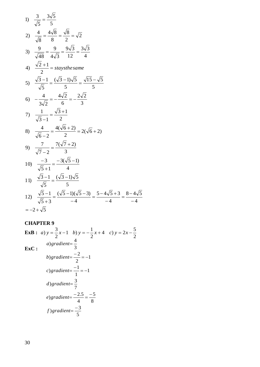1) 
$$
\frac{3}{\sqrt{5}} = \frac{3\sqrt{5}}{5}
$$
  
\n2)  $\frac{4}{\sqrt{8}} = \frac{4\sqrt{8}}{8} = \frac{\sqrt{8}}{2} = \sqrt{2}$   
\n3)  $\frac{9}{\sqrt{48}} = \frac{9}{4\sqrt{3}} = \frac{9\sqrt{3}}{12} = \frac{3\sqrt{3}}{4}$   
\n4)  $\frac{\sqrt{2}+1}{2} = \text{stays} \text{the same}$   
\n5)  $\frac{\sqrt{3}-1}{\sqrt{5}} = \frac{(\sqrt{3}-1)\sqrt{5}}{5} = \frac{\sqrt{15}-\sqrt{5}}{5}$   
\n6)  $-\frac{4}{3\sqrt{2}} = -\frac{4\sqrt{2}}{6} = -\frac{2\sqrt{2}}{3}$   
\n7)  $\frac{1}{\sqrt{3}-1} = \frac{\sqrt{3}+1}{2}$   
\n8)  $\frac{4}{\sqrt{6}-2} = \frac{4(\sqrt{6}+2)}{2} = 2(\sqrt{6}+2)$   
\n9)  $\frac{7}{\sqrt{7}-2} = \frac{7(\sqrt{7}+2)}{3}$   
\n10)  $\frac{-3}{\sqrt{5}+1} = \frac{-3(\sqrt{5}-1)}{4}$   
\n11)  $\frac{\sqrt{3}-1}{\sqrt{5}} = \frac{(\sqrt{3}-1)\sqrt{5}}{5}$   
\n12)  $\frac{\sqrt{5}-1}{\sqrt{5}+3} = \frac{(\sqrt{5}-1)(\sqrt{5}-3)}{-4} = \frac{5-4\sqrt{5}+3}{-4} = \frac{8-4\sqrt{5}}{-4}$   
\n $= -2 + \sqrt{5}$ 

# **CHAPTER 9**

**ExB :**  4 c)  $y = 2x - \frac{5}{3}$ 2 1 b)  $y = -\frac{1}{2}$ 2 *a*)  $y = \frac{3}{2}x - 1$  *b*)  $y = -\frac{1}{2}x + 4$  *c*)  $y = 2x -$ **ExC :** 5 f)gradient= $\frac{-3}{4}$ 8 5 4  $(e) gradient = \frac{-2.5}{4.5} = \frac{-2.5}{4.5}$ 7 d)gradient= $\frac{3}{7}$ 1 1 c)gradient= $\frac{-1}{1}$ = 1 2 b)gradient= $\frac{-2}{2}$ = 3  $a) gradient = \frac{4}{3}$ 

2